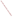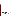## **Consumer Factsheet on: 1,2,4-TRICHLOROBENZENE**

### [List of Contaminants](http://www.epa.gov/safewater/hfacts.html)

 As part of the Drinking Water and Health pages, this fact sheet is part of a larger publication: **National Primary Drinking Water Regulations** 

 States Environmental Protection Agency (EPA). This is a factsheet about a chemical that may be found in some public or private drinking water supplies. It may cause health problems if found in amounts greater than the health standard set by the United

#### **What is 1,2,4-TCB and how is it used?**

 trichlorobenzene is primarily as a dye carrier. It is also used to make herbicides and other organic 1,2,4-Trichlorobenzene (1,2,4-TCB) is an aromatic, colorless organic liquid. The greatest use of 1,2,4 chemicals; as a solvent; in wood preservatives; in abrasives. It was once used as a soil treatment for termite control.

 The list of trade names given below may help you find out whether you are using this chemical at home or work.

#### **Trade Names and Synonyms:**

Hostetex L-PEC **Trichlorobenzol** 

#### **Why is 1,2,4-TCB being Regulated?**

 based solely on possible health risks and exposure, are called Maximum Contaminant Level Goals. In 1974, Congress passed the Safe Drinking Water Act. This law requires EPA to determine safe levels of chemicals in drinking water which do or may cause health problems. These non-enforceable levels,

 The MCLG for 1,2,4-trichlorobenzene has been set at 0.07 parts per million (ppm) because EPA believes this level of protection would not cause any of the potential health problems described below.

 Based on this MCLG, EPA has set an enforceable standard called a Maximum Contaminant Level (MCL). MCLs are set as close to the MCLGs as possible, considering the ability of public water systems to detect and remove contaminants using suitable treatment technologies.

 should it occur in drinking water. The MCL has also been set at 0.07 ppm because EPA believes, given present technology and resources, this is the lowest level to which water systems can reasonably be required to remove this contaminant

These drinking water standards and the regulations for ensuring these standards are met, are called National Primary Drinking Water Regulations. All public water supplies must abide by these regulations.

#### **What are the Health Effects?**

 people are exposed to it at levels above the MCL for relatively short periods of time: changes in liver, kidneys and adrenal glands Short-term: EPA has found 1,2,4-trichlorobenzene to potentially cause the following health effects when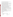exposure at levels above the MCL: increased adrenal gland weights Long-term: 1,2,4-Trichlorobenzene has the potential to cause the following effects from a lifetime

#### **How much 1,2,4-TCB is produced and released to the environment?**

Current production figures on 1,2,4-trichlorobenzene are not available. EPA estimated 1983 production to be in the range of 3 to 8 million lbs., with imports over 3 million lbs. Major environmental releases of 1,2,4 trichlorobenzene are due to its manufacture and use as a dye carrier.

From 1987 to 1993, according to EPA's Toxic Chemical Release Inventory, 1,2,4-trichlorobenzene releases to land and water totalled over 180,000 lbs. These releases were primarily from textile finishing industries. The largest releases occurred in North Carolina and Virginia.

#### **What happens to 1,2,4-TCB when it is released to the environment?**

 samples which indicates that it can be transported there by some process. If released to water it will largely evaporate within a few hours. It has some potential to accumulate in fish. 1,2,4-Trichlorobenzene (1,2,4-TCB) binds well to the soil and therefore will not leach appreciably to the groundwater when released to land. However, 1,2,4-TCB has been detected in some groundwater

#### **How will 1,2,4-TCB be Detected in and Removed from My Drinking Water?**

 required your water supplier to collect water samples every 3 months for one year and analyze them to The regulation for 1,2,4-trichlorobenzene became effective in 1994. Between 1993 and 1995, EPA find out if 1,2,4-trichlorobenzene is present above 0.5 ppb. If it is present above this level, the system must continue to monitor this contaminant.

If contaminant levels are found to be consistently above the MCL, your water supplier must take steps to reduce the amount of 1,2,4-trichlorobenzene so that it is consistently below that level. The following treatment methods have been approved by EPA for removing 1,2,4-trichlorobenzene: Granular activated charcoal in combination with Packed Tower Aeration.

#### **How will I know if 1,2,4-TCB is in my drinking water?**

 If the levels of 1,2,4-trichlorobenzene exceed the MCL, 0.07 ppm, the system must notify the public via newspapers, radio, TV and other means. Additional actions, such as providing alternative drinking water supplies, may be required to prevent serious risks to public health.

#### **Drinking Water Standards:**

Mclg: 0.07 ppm

Mcl: 0.07 ppm

# **1,2,4-TCB Releases to Water and Land, 1987 to 1993 (in pounds): Water Land**

|                           | Water   | Land   |
|---------------------------|---------|--------|
| <b>TOTALS (in pounds)</b> | 157,541 | 22,835 |
| Top Five States*          |         |        |
| NC.                       | 80,253  | 13,209 |
| VA                        | 36,970  | 0      |
| GA                        | 17,639  | 8.951  |
| <b>WV</b>                 | 20,300  | 0      |
| <b>NY</b>                 | 1.150   |        |